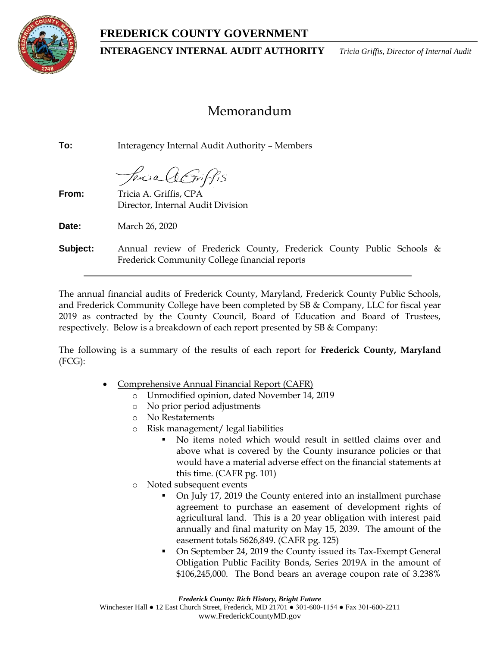# **FREDERICK COUNTY GOVERNMENT**



**INTERAGENCY INTERNAL AUDIT AUTHORITY** *Tricia Griffis, Director of Internal Audit*

# Memorandum

**To:** Interagency Internal Audit Authority – Members

Percia AGriffis

**From:** Tricia A. Griffis, CPA Director, Internal Audit Division

**Date:** March 26, 2020

**Subject:** Annual review of Frederick County, Frederick County Public Schools & Frederick Community College financial reports

The annual financial audits of Frederick County, Maryland, Frederick County Public Schools, and Frederick Community College have been completed by SB & Company, LLC for fiscal year 2019 as contracted by the County Council, Board of Education and Board of Trustees, respectively. Below is a breakdown of each report presented by SB & Company:

The following is a summary of the results of each report for **Frederick County, Maryland** (FCG):

- Comprehensive Annual Financial Report (CAFR)
	- Unmodified opinion, dated November 14, 2019
	- o No prior period adjustments
	- o No Restatements
	- o Risk management/ legal liabilities
		- No items noted which would result in settled claims over and above what is covered by the County insurance policies or that would have a material adverse effect on the financial statements at this time. (CAFR pg. 101)
	- o Noted subsequent events
		- On July 17, 2019 the County entered into an installment purchase agreement to purchase an easement of development rights of agricultural land. This is a 20 year obligation with interest paid annually and final maturity on May 15, 2039. The amount of the easement totals \$626,849. (CAFR pg. 125)
		- On September 24, 2019 the County issued its Tax-Exempt General Obligation Public Facility Bonds, Series 2019A in the amount of \$106,245,000. The Bond bears an average coupon rate of 3.238%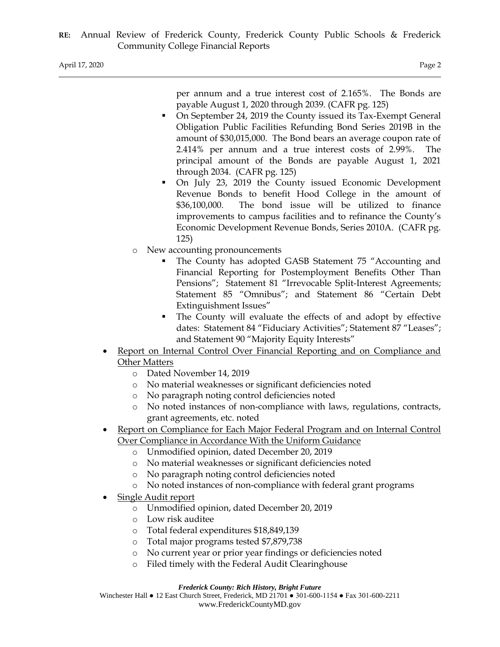per annum and a true interest cost of 2.165%. The Bonds are payable August 1, 2020 through 2039. (CAFR pg. 125)

- On September 24, 2019 the County issued its Tax-Exempt General Obligation Public Facilities Refunding Bond Series 2019B in the amount of \$30,015,000. The Bond bears an average coupon rate of 2.414% per annum and a true interest costs of 2.99%. The principal amount of the Bonds are payable August 1, 2021 through 2034. (CAFR pg. 125)
- On July 23, 2019 the County issued Economic Development Revenue Bonds to benefit Hood College in the amount of \$36,100,000. The bond issue will be utilized to finance improvements to campus facilities and to refinance the County's Economic Development Revenue Bonds, Series 2010A. (CAFR pg. 125)
- o New accounting pronouncements
	- The County has adopted GASB Statement 75 "Accounting and Financial Reporting for Postemployment Benefits Other Than Pensions"; Statement 81 "Irrevocable Split-Interest Agreements; Statement 85 "Omnibus"; and Statement 86 "Certain Debt Extinguishment Issues"
	- The County will evaluate the effects of and adopt by effective dates: Statement 84 "Fiduciary Activities"; Statement 87 "Leases"; and Statement 90 "Majority Equity Interests"
- Report on Internal Control Over Financial Reporting and on Compliance and Other Matters
	- o Dated November 14, 2019
	- o No material weaknesses or significant deficiencies noted
	- o No paragraph noting control deficiencies noted
	- o No noted instances of non-compliance with laws, regulations, contracts, grant agreements, etc. noted
- Report on Compliance for Each Major Federal Program and on Internal Control Over Compliance in Accordance With the Uniform Guidance
	- o Unmodified opinion, dated December 20, 2019
	- o No material weaknesses or significant deficiencies noted
	- o No paragraph noting control deficiencies noted
	- o No noted instances of non-compliance with federal grant programs
- Single Audit report
	- o Unmodified opinion, dated December 20, 2019
	- o Low risk auditee
	- o Total federal expenditures \$18,849,139
	- o Total major programs tested \$7,879,738
	- o No current year or prior year findings or deficiencies noted
	- o Filed timely with the Federal Audit Clearinghouse

#### *Frederick County: Rich History, Bright Future*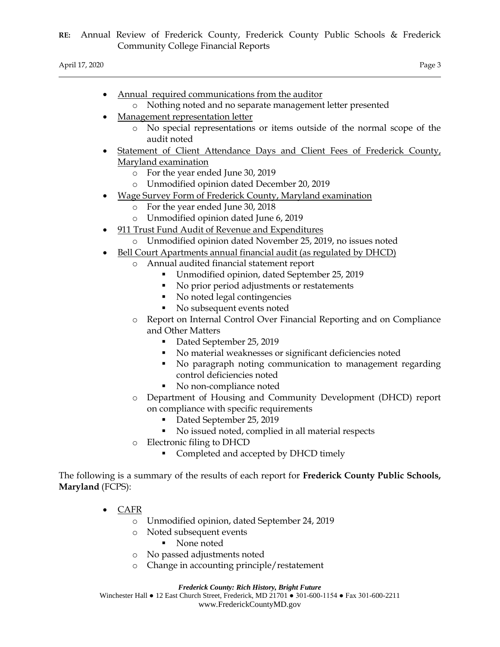April 17, 2020 Page 3

- Annual required communications from the auditor
	- o Nothing noted and no separate management letter presented
- Management representation letter
	- o No special representations or items outside of the normal scope of the audit noted
- Statement of Client Attendance Days and Client Fees of Frederick County, Maryland examination
	- o For the year ended June 30, 2019
	- o Unmodified opinion dated December 20, 2019
- Wage Survey Form of Frederick County, Maryland examination
	- o For the year ended June 30, 2018
	- o Unmodified opinion dated June 6, 2019
- 911 Trust Fund Audit of Revenue and Expenditures
	- o Unmodified opinion dated November 25, 2019, no issues noted
- Bell Court Apartments annual financial audit (as regulated by DHCD)
	- Annual audited financial statement report
		- Unmodified opinion, dated September 25, 2019
		- No prior period adjustments or restatements
		- No noted legal contingencies
		- No subsequent events noted
	- o Report on Internal Control Over Financial Reporting and on Compliance and Other Matters
		- Dated September 25, 2019
		- No material weaknesses or significant deficiencies noted
		- No paragraph noting communication to management regarding control deficiencies noted
		- No non-compliance noted
	- o Department of Housing and Community Development (DHCD) report on compliance with specific requirements
		- Dated September 25, 2019
		- No issued noted, complied in all material respects
	- o Electronic filing to DHCD
		- Completed and accepted by DHCD timely

The following is a summary of the results of each report for **Frederick County Public Schools, Maryland** (FCPS):

- CAFR
	- o Unmodified opinion, dated September 24, 2019
	- o Noted subsequent events
		- None noted
	- o No passed adjustments noted
	- o Change in accounting principle/restatement

*Frederick County: Rich History, Bright Future*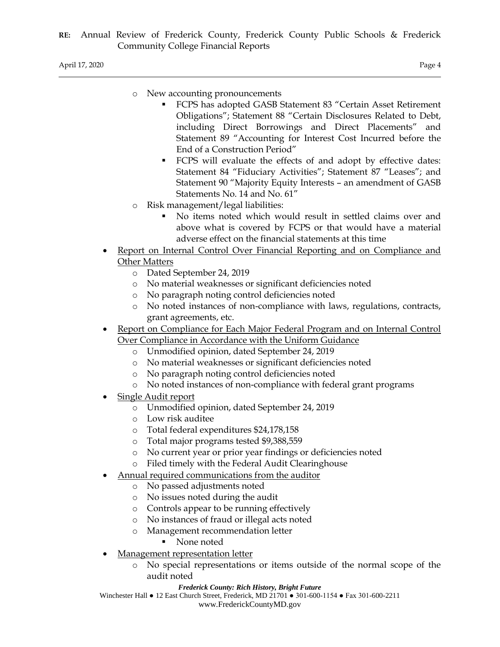- o New accounting pronouncements
	- FCPS has adopted GASB Statement 83 "Certain Asset Retirement Obligations"; Statement 88 "Certain Disclosures Related to Debt, including Direct Borrowings and Direct Placements" and Statement 89 "Accounting for Interest Cost Incurred before the End of a Construction Period"
	- FCPS will evaluate the effects of and adopt by effective dates: Statement 84 "Fiduciary Activities"; Statement 87 "Leases"; and Statement 90 "Majority Equity Interests – an amendment of GASB Statements No. 14 and No. 61"
- o Risk management/legal liabilities:
	- No items noted which would result in settled claims over and above what is covered by FCPS or that would have a material adverse effect on the financial statements at this time
- Report on Internal Control Over Financial Reporting and on Compliance and Other Matters
	- o Dated September 24, 2019
	- o No material weaknesses or significant deficiencies noted
	- o No paragraph noting control deficiencies noted
	- o No noted instances of non-compliance with laws, regulations, contracts, grant agreements, etc.
- Report on Compliance for Each Major Federal Program and on Internal Control Over Compliance in Accordance with the Uniform Guidance
	- o Unmodified opinion, dated September 24, 2019
	- o No material weaknesses or significant deficiencies noted
	- o No paragraph noting control deficiencies noted
	- o No noted instances of non-compliance with federal grant programs
- Single Audit report
	- o Unmodified opinion, dated September 24, 2019
	- o Low risk auditee
	- o Total federal expenditures \$24,178,158
	- o Total major programs tested \$9,388,559
	- o No current year or prior year findings or deficiencies noted
	- o Filed timely with the Federal Audit Clearinghouse
- Annual required communications from the auditor
	- o No passed adjustments noted
	- o No issues noted during the audit
	- o Controls appear to be running effectively
	- o No instances of fraud or illegal acts noted
	- o Management recommendation letter
		- None noted
- Management representation letter
	- o No special representations or items outside of the normal scope of the audit noted

#### *Frederick County: Rich History, Bright Future*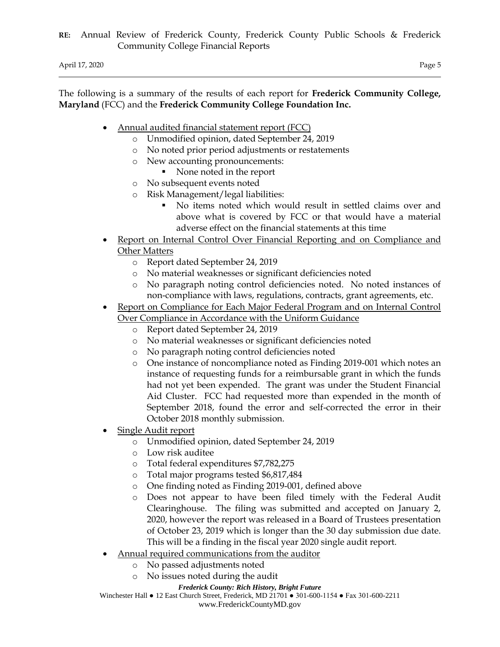The following is a summary of the results of each report for **Frederick Community College, Maryland** (FCC) and the **Frederick Community College Foundation Inc.**

- Annual audited financial statement report (FCC)
	- o Unmodified opinion, dated September 24, 2019
	- o No noted prior period adjustments or restatements
	- o New accounting pronouncements:
		- None noted in the report
	- o No subsequent events noted
	- o Risk Management/legal liabilities:
		- No items noted which would result in settled claims over and above what is covered by FCC or that would have a material adverse effect on the financial statements at this time
- Report on Internal Control Over Financial Reporting and on Compliance and Other Matters
	- o Report dated September 24, 2019
	- o No material weaknesses or significant deficiencies noted
	- o No paragraph noting control deficiencies noted. No noted instances of non-compliance with laws, regulations, contracts, grant agreements, etc.
- Report on Compliance for Each Major Federal Program and on Internal Control Over Compliance in Accordance with the Uniform Guidance
	- o Report dated September 24, 2019
	- o No material weaknesses or significant deficiencies noted
	- o No paragraph noting control deficiencies noted
	- o One instance of noncompliance noted as Finding 2019-001 which notes an instance of requesting funds for a reimbursable grant in which the funds had not yet been expended. The grant was under the Student Financial Aid Cluster. FCC had requested more than expended in the month of September 2018, found the error and self-corrected the error in their October 2018 monthly submission.
- Single Audit report
	- o Unmodified opinion, dated September 24, 2019
	- o Low risk auditee
	- o Total federal expenditures \$7,782,275
	- o Total major programs tested \$6,817,484
	- o One finding noted as Finding 2019-001, defined above
	- o Does not appear to have been filed timely with the Federal Audit Clearinghouse. The filing was submitted and accepted on January 2, 2020, however the report was released in a Board of Trustees presentation of October 23, 2019 which is longer than the 30 day submission due date. This will be a finding in the fiscal year 2020 single audit report.
- Annual required communications from the auditor
	- o No passed adjustments noted
	- o No issues noted during the audit

#### *Frederick County: Rich History, Bright Future*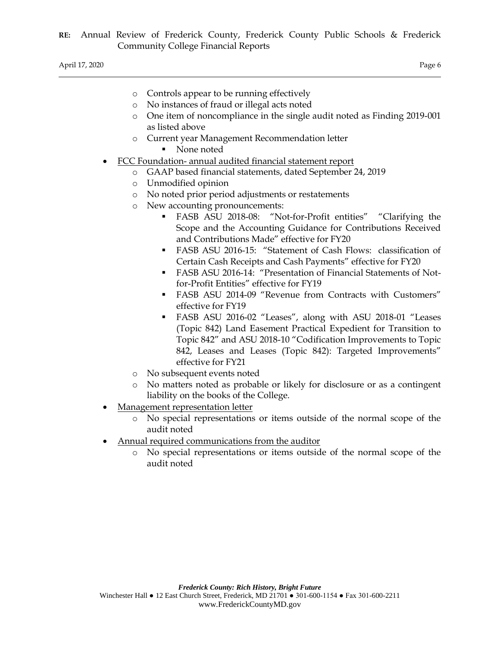| Controls appear to be running effectively<br>$\circ$ |
|------------------------------------------------------|
|------------------------------------------------------|

- o No instances of fraud or illegal acts noted
- o One item of noncompliance in the single audit noted as Finding 2019-001 as listed above
- o Current year Management Recommendation letter
	- None noted
- FCC Foundation- annual audited financial statement report
	- o GAAP based financial statements, dated September 24, 2019
	- o Unmodified opinion
	- o No noted prior period adjustments or restatements
	- o New accounting pronouncements:
		- FASB ASU 2018-08: "Not-for-Profit entities" "Clarifying the Scope and the Accounting Guidance for Contributions Received and Contributions Made" effective for FY20
		- FASB ASU 2016-15: "Statement of Cash Flows: classification of Certain Cash Receipts and Cash Payments" effective for FY20
		- FASB ASU 2016-14: "Presentation of Financial Statements of Notfor-Profit Entities" effective for FY19
		- FASB ASU 2014-09 "Revenue from Contracts with Customers" effective for FY19
		- FASB ASU 2016-02 "Leases", along with ASU 2018-01 "Leases (Topic 842) Land Easement Practical Expedient for Transition to Topic 842" and ASU 2018-10 "Codification Improvements to Topic 842, Leases and Leases (Topic 842): Targeted Improvements" effective for FY21
	- o No subsequent events noted
	- o No matters noted as probable or likely for disclosure or as a contingent liability on the books of the College.
- Management representation letter
	- o No special representations or items outside of the normal scope of the audit noted
- Annual required communications from the auditor
	- o No special representations or items outside of the normal scope of the audit noted